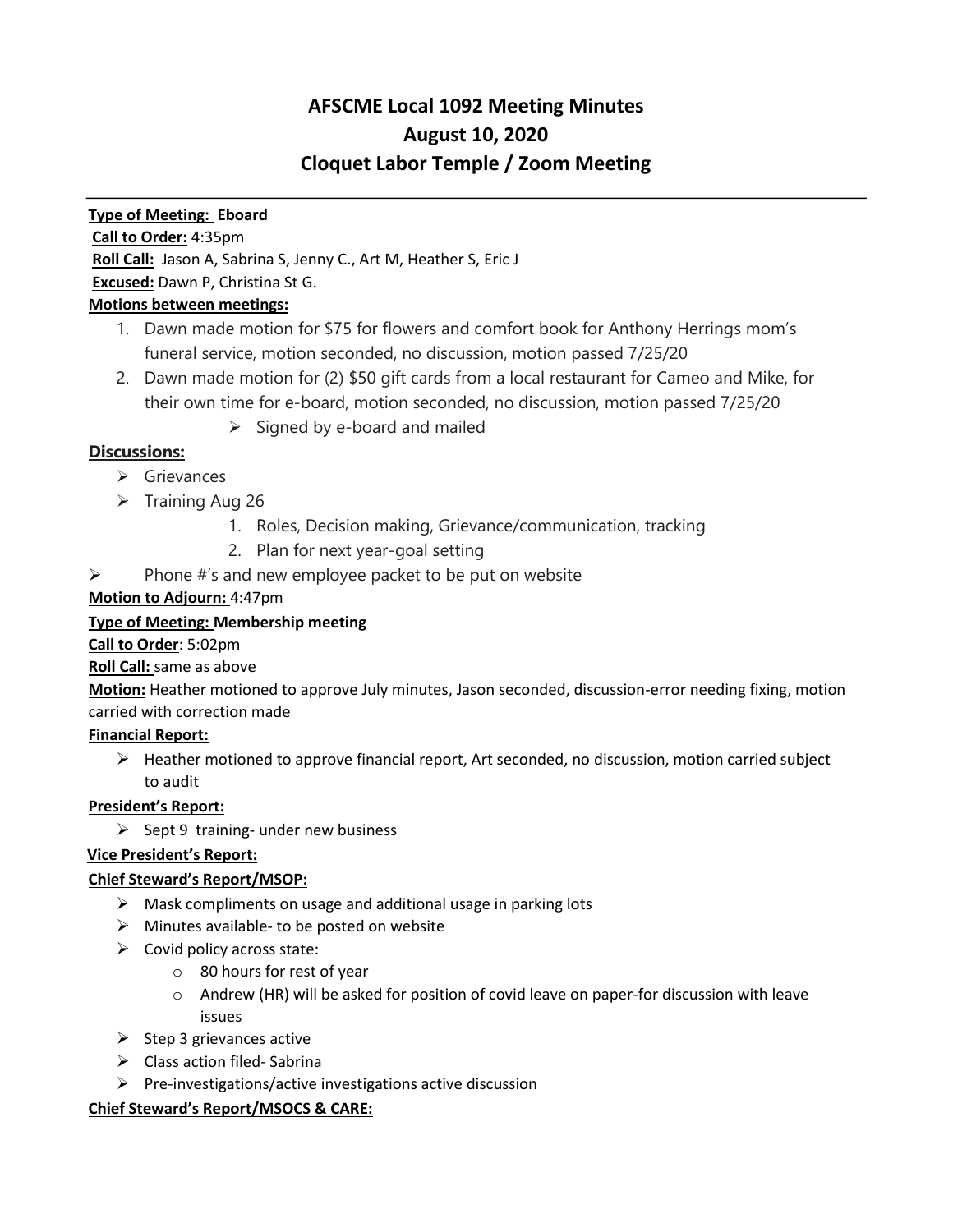# **AFSCME Local 1092 Meeting Minutes August 10, 2020 Cloquet Labor Temple / Zoom Meeting**

### **Type of Meeting: Eboard**

#### **Call to Order:** 4:35pm

**Roll Call:** Jason A, Sabrina S, Jenny C., Art M, Heather S, Eric J

#### **Excused:** Dawn P, Christina St G.

# **Motions between meetings:**

- 1. Dawn made motion for \$75 for flowers and comfort book for Anthony Herrings mom's funeral service, motion seconded, no discussion, motion passed 7/25/20
- 2. Dawn made motion for (2) \$50 gift cards from a local restaurant for Cameo and Mike, for their own time for e-board, motion seconded, no discussion, motion passed 7/25/20
	- $\triangleright$  Signed by e-board and mailed

# **Discussions:**

- ➢ Grievances
- ➢ Training Aug 26
	- 1. Roles, Decision making, Grievance/communication, tracking
	- 2. Plan for next year-goal setting
- $\triangleright$  Phone #'s and new employee packet to be put on website

# **Motion to Adjourn:** 4:47pm

# **Type of Meeting: Membership meeting**

#### **Call to Order**: 5:02pm

# **Roll Call:** same as above

**Motion:** Heather motioned to approve July minutes, Jason seconded, discussion-error needing fixing, motion carried with correction made

# **Financial Report:**

 $\triangleright$  Heather motioned to approve financial report, Art seconded, no discussion, motion carried subject to audit

# **President's Report:**

 $\triangleright$  Sept 9 training- under new business

# **Vice President's Report:**

# **Chief Steward's Report/MSOP:**

- $\triangleright$  Mask compliments on usage and additional usage in parking lots
- $\triangleright$  Minutes available- to be posted on website
- $\triangleright$  Covid policy across state:
	- o 80 hours for rest of year
	- $\circ$  Andrew (HR) will be asked for position of covid leave on paper-for discussion with leave issues
- $\triangleright$  Step 3 grievances active
- ➢ Class action filed- Sabrina
- ➢ Pre-investigations/active investigations active discussion

#### **Chief Steward's Report/MSOCS & CARE:**